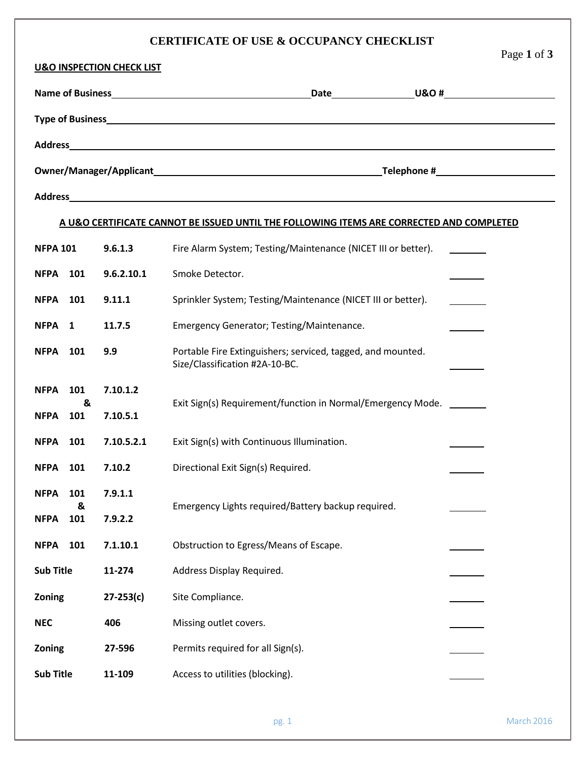## **CERTIFICATE OF USE & OCCUPANCY CHECKLIST**

Page **1** of **3**

| <b>U&amp;O INSPECTION CHECK LIST</b>                                                     |          |               |                                                                                               |  |  |  |  |  |  |  |
|------------------------------------------------------------------------------------------|----------|---------------|-----------------------------------------------------------------------------------------------|--|--|--|--|--|--|--|
|                                                                                          |          |               |                                                                                               |  |  |  |  |  |  |  |
|                                                                                          |          |               |                                                                                               |  |  |  |  |  |  |  |
|                                                                                          |          |               |                                                                                               |  |  |  |  |  |  |  |
|                                                                                          |          |               |                                                                                               |  |  |  |  |  |  |  |
|                                                                                          |          |               |                                                                                               |  |  |  |  |  |  |  |
| A U&O CERTIFICATE CANNOT BE ISSUED UNTIL THE FOLLOWING ITEMS ARE CORRECTED AND COMPLETED |          |               |                                                                                               |  |  |  |  |  |  |  |
| <b>NFPA 101</b>                                                                          |          | 9.6.1.3       | Fire Alarm System; Testing/Maintenance (NICET III or better).                                 |  |  |  |  |  |  |  |
| <b>NFPA</b>                                                                              | 101      | 9.6.2.10.1    | Smoke Detector.                                                                               |  |  |  |  |  |  |  |
| <b>NFPA</b>                                                                              | 101      | 9.11.1        | Sprinkler System; Testing/Maintenance (NICET III or better).                                  |  |  |  |  |  |  |  |
| NFPA <sub>1</sub>                                                                        |          | 11.7.5        | Emergency Generator; Testing/Maintenance.                                                     |  |  |  |  |  |  |  |
| <b>NFPA</b>                                                                              | 101      | 9.9           | Portable Fire Extinguishers; serviced, tagged, and mounted.<br>Size/Classification #2A-10-BC. |  |  |  |  |  |  |  |
| <b>NFPA</b>                                                                              | 101<br>& | 7.10.1.2      | Exit Sign(s) Requirement/function in Normal/Emergency Mode. _______                           |  |  |  |  |  |  |  |
| <b>NFPA</b>                                                                              | 101      | 7.10.5.1      |                                                                                               |  |  |  |  |  |  |  |
| <b>NFPA</b>                                                                              | 101      | 7.10.5.2.1    | Exit Sign(s) with Continuous Illumination.                                                    |  |  |  |  |  |  |  |
| <b>NFPA</b>                                                                              | 101      | 7.10.2        | Directional Exit Sign(s) Required.                                                            |  |  |  |  |  |  |  |
| <b>NFPA 101</b>                                                                          | &        | 7.9.1.1       | Emergency Lights required/Battery backup required.                                            |  |  |  |  |  |  |  |
| <b>NFPA</b>                                                                              | 101      | 7.9.2.2       |                                                                                               |  |  |  |  |  |  |  |
| <b>NFPA</b>                                                                              | 101      | 7.1.10.1      | Obstruction to Egress/Means of Escape.                                                        |  |  |  |  |  |  |  |
| <b>Sub Title</b>                                                                         |          | 11-274        | Address Display Required.                                                                     |  |  |  |  |  |  |  |
| Zoning                                                                                   |          | $27 - 253(c)$ | Site Compliance.                                                                              |  |  |  |  |  |  |  |
| <b>NEC</b>                                                                               |          | 406           | Missing outlet covers.                                                                        |  |  |  |  |  |  |  |
| Zoning                                                                                   |          | 27-596        | Permits required for all Sign(s).                                                             |  |  |  |  |  |  |  |
| <b>Sub Title</b>                                                                         |          | 11-109        | Access to utilities (blocking).                                                               |  |  |  |  |  |  |  |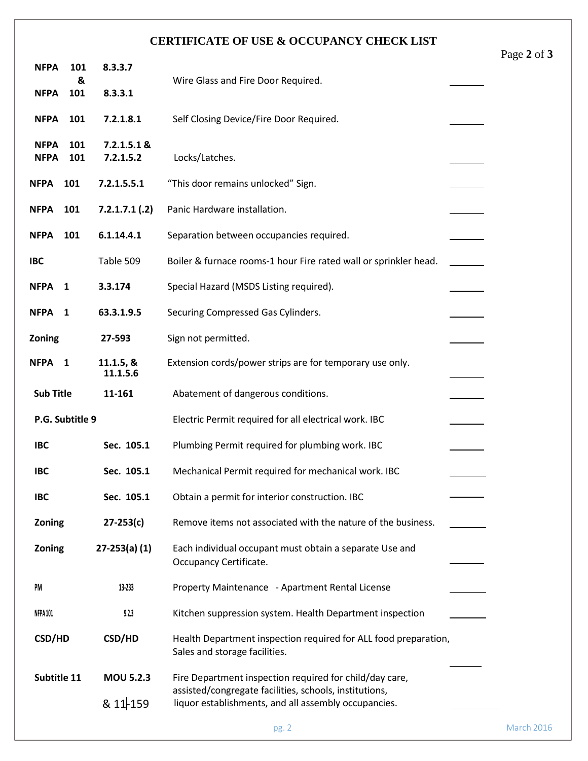## **CERTIFICATE OF USE & OCCUPANCY CHECK LIST**

| <b>NFPA</b>                | 101          | 8.3.3.7                  |                                                                                                                |  | -0 |
|----------------------------|--------------|--------------------------|----------------------------------------------------------------------------------------------------------------|--|----|
|                            | &            |                          | Wire Glass and Fire Door Required.                                                                             |  |    |
| <b>NFPA</b>                | 101          | 8.3.3.1                  |                                                                                                                |  |    |
| <b>NFPA</b>                | 101          | 7.2.1.8.1                | Self Closing Device/Fire Door Required.                                                                        |  |    |
| <b>NFPA</b><br><b>NFPA</b> | 101<br>101   | 7.2.1.5.1 &<br>7.2.1.5.2 | Locks/Latches.                                                                                                 |  |    |
| <b>NFPA</b>                | 101          | 7.2.1.5.5.1              | "This door remains unlocked" Sign.                                                                             |  |    |
| <b>NFPA</b>                | 101          | $7.2.1.7.1$ (.2)         | Panic Hardware installation.                                                                                   |  |    |
| <b>NFPA</b>                | 101          | 6.1.14.4.1               | Separation between occupancies required.                                                                       |  |    |
| <b>IBC</b>                 |              | Table 509                | Boiler & furnace rooms-1 hour Fire rated wall or sprinkler head.                                               |  |    |
| <b>NFPA</b>                | 1            | 3.3.174                  | Special Hazard (MSDS Listing required).                                                                        |  |    |
| <b>NFPA</b>                | $\mathbf{1}$ | 63.3.1.9.5               | Securing Compressed Gas Cylinders.                                                                             |  |    |
| Zoning                     |              | 27-593                   | Sign not permitted.                                                                                            |  |    |
| <b>NFPA</b>                | 1            | 11.1.5, &<br>11.1.5.6    | Extension cords/power strips are for temporary use only.                                                       |  |    |
| <b>Sub Title</b>           |              | 11-161                   | Abatement of dangerous conditions.                                                                             |  |    |
| P.G. Subtitle 9            |              |                          | Electric Permit required for all electrical work. IBC                                                          |  |    |
| <b>IBC</b>                 |              | Sec. 105.1               | Plumbing Permit required for plumbing work. IBC                                                                |  |    |
| <b>IBC</b>                 |              | Sec. 105.1               | Mechanical Permit required for mechanical work. IBC                                                            |  |    |
| <b>IBC</b>                 |              | Sec. 105.1               | Obtain a permit for interior construction. IBC                                                                 |  |    |
| Zoning                     |              | $27 - 253(c)$            | Remove items not associated with the nature of the business.                                                   |  |    |
| <b>Zoning</b>              |              | $27 - 253(a) (1)$        | Each individual occupant must obtain a separate Use and<br>Occupancy Certificate.                              |  |    |
| PM                         |              | 13-233                   | Property Maintenance - Apartment Rental License                                                                |  |    |
| NFPA 101                   |              | 9.2.3                    | Kitchen suppression system. Health Department inspection                                                       |  |    |
| <b>CSD/HD</b>              |              | <b>CSD/HD</b>            | Health Department inspection required for ALL food preparation,<br>Sales and storage facilities.               |  |    |
| Subtitle 11                |              | <b>MOU 5.2.3</b>         | Fire Department inspection required for child/day care,                                                        |  |    |
|                            |              | $811 - 159$              | assisted/congregate facilities, schools, institutions,<br>liquor establishments, and all assembly occupancies. |  |    |
|                            |              |                          |                                                                                                                |  |    |

Ass